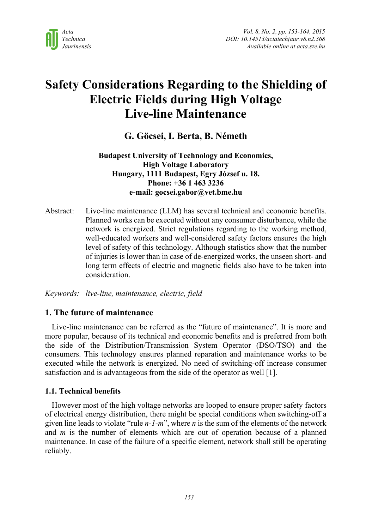

# **Safety Considerations Regarding to the Shielding of Electric Fields during High Voltage Live-line Maintenance**

# **G. Göcsei, I. Berta, B. Németh**

# **Budapest University of Technology and Economics, High Voltage Laboratory Hungary, 1111 Budapest, Egry József u. 18. Phone: +36 1 463 3236 e-mail: gocsei.gabor@vet.bme.hu**

Abstract: Live-line maintenance (LLM) has several technical and economic benefits. Planned works can be executed without any consumer disturbance, while the network is energized. Strict regulations regarding to the working method, well-educated workers and well-considered safety factors ensures the high level of safety of this technology. Although statistics show that the number of injuries is lower than in case of de-energized works, the unseen short- and long term effects of electric and magnetic fields also have to be taken into consideration.

*Keywords: live-line, maintenance, electric, field* 

# **1. The future of maintenance**

Live-line maintenance can be referred as the "future of maintenance". It is more and more popular, because of its technical and economic benefits and is preferred from both the side of the Distribution/Transmission System Operator (DSO/TSO) and the consumers. This technology ensures planned reparation and maintenance works to be executed while the network is energized. No need of switching-off increase consumer satisfaction and is advantageous from the side of the operator as well [1].

## **1.1. Technical benefits**

However most of the high voltage networks are looped to ensure proper safety factors of electrical energy distribution, there might be special conditions when switching-off a given line leads to violate "rule *n-1-m*", where *n* is the sum of the elements of the network and *m* is the number of elements which are out of operation because of a planned maintenance. In case of the failure of a specific element, network shall still be operating reliably.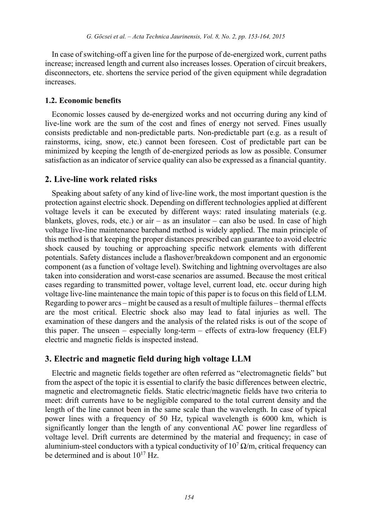In case of switching-off a given line for the purpose of de-energized work, current paths increase; increased length and current also increases losses. Operation of circuit breakers, disconnectors, etc. shortens the service period of the given equipment while degradation increases.

#### **1.2. Economic benefits**

Economic losses caused by de-energized works and not occurring during any kind of live-line work are the sum of the cost and fines of energy not served. Fines usually consists predictable and non-predictable parts. Non-predictable part (e.g. as a result of rainstorms, icing, snow, etc.) cannot been foreseen. Cost of predictable part can be minimized by keeping the length of de-energized periods as low as possible. Consumer satisfaction as an indicator of service quality can also be expressed as a financial quantity.

# **2. Live-line work related risks**

Speaking about safety of any kind of live-line work, the most important question is the protection against electric shock. Depending on different technologies applied at different voltage levels it can be executed by different ways: rated insulating materials (e.g. blankets, gloves, rods, etc.) or air – as an insulator – can also be used. In case of high voltage live-line maintenance barehand method is widely applied. The main principle of this method is that keeping the proper distances prescribed can guarantee to avoid electric shock caused by touching or approaching specific network elements with different potentials. Safety distances include a flashover/breakdown component and an ergonomic component (as a function of voltage level). Switching and lightning overvoltages are also taken into consideration and worst-case scenarios are assumed. Because the most critical cases regarding to transmitted power, voltage level, current load, etc. occur during high voltage live-line maintenance the main topic of this paper is to focus on this field of LLM. Regarding to power arcs – might be caused as a result of multiple failures – thermal effects are the most critical. Electric shock also may lead to fatal injuries as well. The examination of these dangers and the analysis of the related risks is out of the scope of this paper. The unseen – especially long-term – effects of extra-low frequency (ELF) electric and magnetic fields is inspected instead.

#### **3. Electric and magnetic field during high voltage LLM**

Electric and magnetic fields together are often referred as "electromagnetic fields" but from the aspect of the topic it is essential to clarify the basic differences between electric, magnetic and electromagnetic fields. Static electric/magnetic fields have two criteria to meet: drift currents have to be negligible compared to the total current density and the length of the line cannot been in the same scale than the wavelength. In case of typical power lines with a frequency of 50 Hz, typical wavelength is 6000 km, which is significantly longer than the length of any conventional AC power line regardless of voltage level. Drift currents are determined by the material and frequency; in case of aluminium-steel conductors with a typical conductivity of  $10^7 \Omega/m$ , critical frequency can be determined and is about  $10^{17}$  Hz.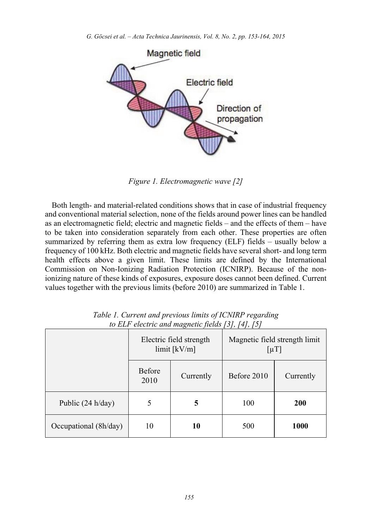

*Figure 1. Electromagnetic wave [2]*

Both length- and material-related conditions shows that in case of industrial frequency and conventional material selection, none of the fields around power lines can be handled as an electromagnetic field; electric and magnetic fields – and the effects of them – have to be taken into consideration separately from each other. These properties are often summarized by referring them as extra low frequency (ELF) fields – usually below a frequency of 100 kHz. Both electric and magnetic fields have several short- and long term health effects above a given limit. These limits are defined by the International Commission on Non-Ionizing Radiation Protection (ICNIRP). Because of the nonionizing nature of these kinds of exposures, exposure doses cannot been defined. Current values together with the previous limits (before 2010) are summarized in Table 1.

|                       | Electric field strength<br>$limit$ [kV/m] |           | Magnetic field strength limit<br>$\lceil \mu T \rceil$ |            |
|-----------------------|-------------------------------------------|-----------|--------------------------------------------------------|------------|
|                       | <b>Before</b><br>2010                     | Currently | Before 2010                                            | Currently  |
| Public $(24 h/day)$   | 5                                         | 5         | 100                                                    | <b>200</b> |
| Occupational (8h/day) | 10                                        | 10        | 500                                                    | 1000       |

*Table 1. Current and previous limits of ICNIRP regarding to ELF electric and magnetic fields [3], [4], [5]*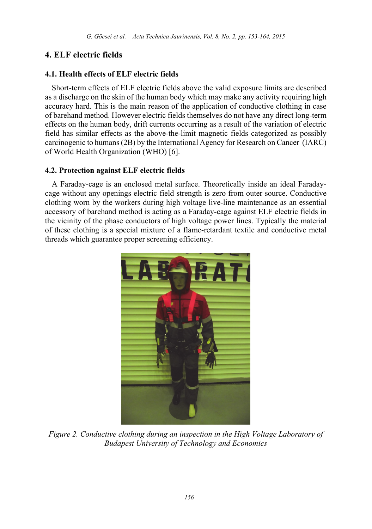# **4. ELF electric fields**

# **4.1. Health effects of ELF electric fields**

Short-term effects of ELF electric fields above the valid exposure limits are described as a discharge on the skin of the human body which may make any activity requiring high accuracy hard. This is the main reason of the application of conductive clothing in case of barehand method. However electric fields themselves do not have any direct long-term effects on the human body, drift currents occurring as a result of the variation of electric field has similar effects as the above-the-limit magnetic fields categorized as possibly carcinogenic to humans (2B) by the International Agency for Research on Cancer (IARC) of World Health Organization (WHO) [6].

# **4.2. Protection against ELF electric fields**

A Faraday-cage is an enclosed metal surface. Theoretically inside an ideal Faradaycage without any openings electric field strength is zero from outer source. Conductive clothing worn by the workers during high voltage live-line maintenance as an essential accessory of barehand method is acting as a Faraday-cage against ELF electric fields in the vicinity of the phase conductors of high voltage power lines. Typically the material of these clothing is a special mixture of a flame-retardant textile and conductive metal threads which guarantee proper screening efficiency.



*Figure 2. Conductive clothing during an inspection in the High Voltage Laboratory of Budapest University of Technology and Economics*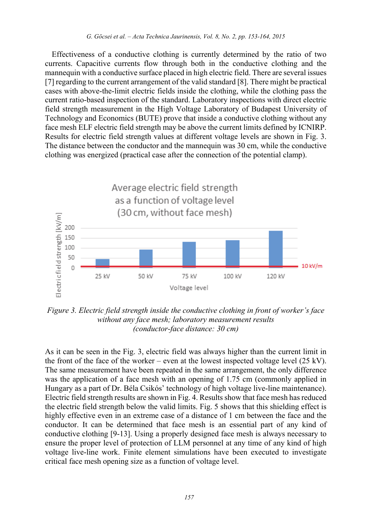Effectiveness of a conductive clothing is currently determined by the ratio of two currents. Capacitive currents flow through both in the conductive clothing and the mannequin with a conductive surface placed in high electric field. There are several issues [7] regarding to the current arrangement of the valid standard [8]. There might be practical cases with above-the-limit electric fields inside the clothing, while the clothing pass the current ratio-based inspection of the standard. Laboratory inspections with direct electric field strength measurement in the High Voltage Laboratory of Budapest University of Technology and Economics (BUTE) prove that inside a conductive clothing without any face mesh ELF electric field strength may be above the current limits defined by ICNIRP. Results for electric field strength values at different voltage levels are shown in Fig. 3. The distance between the conductor and the mannequin was 30 cm, while the conductive clothing was energized (practical case after the connection of the potential clamp).



*Figure 3. Electric field strength inside the conductive clothing in front of worker's face without any face mesh; laboratory measurement results (conductor-face distance: 30 cm)* 

As it can be seen in the Fig. 3, electric field was always higher than the current limit in the front of the face of the worker – even at the lowest inspected voltage level  $(25 \text{ kV})$ . The same measurement have been repeated in the same arrangement, the only difference was the application of a face mesh with an opening of 1.75 cm (commonly applied in Hungary as a part of Dr. Béla Csikós' technology of high voltage live-line maintenance). Electric field strength results are shown in Fig. 4. Results show that face mesh has reduced the electric field strength below the valid limits. Fig. 5 shows that this shielding effect is highly effective even in an extreme case of a distance of 1 cm between the face and the conductor. It can be determined that face mesh is an essential part of any kind of conductive clothing [9-13]. Using a properly designed face mesh is always necessary to ensure the proper level of protection of LLM personnel at any time of any kind of high voltage live-line work. Finite element simulations have been executed to investigate critical face mesh opening size as a function of voltage level.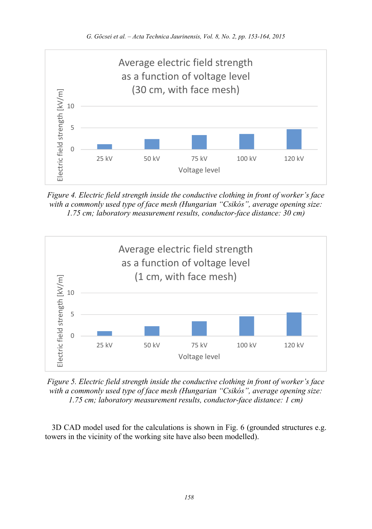

*Figure 4. Electric field strength inside the conductive clothing in front of worker's face with a commonly used type of face mesh (Hungarian "Csikós", average opening size: 1.75 cm; laboratory measurement results, conductor-face distance: 30 cm)* 



*Figure 5. Electric field strength inside the conductive clothing in front of worker's face with a commonly used type of face mesh (Hungarian "Csikós", average opening size: 1.75 cm; laboratory measurement results, conductor-face distance: 1 cm)* 

3D CAD model used for the calculations is shown in Fig. 6 (grounded structures e.g. towers in the vicinity of the working site have also been modelled).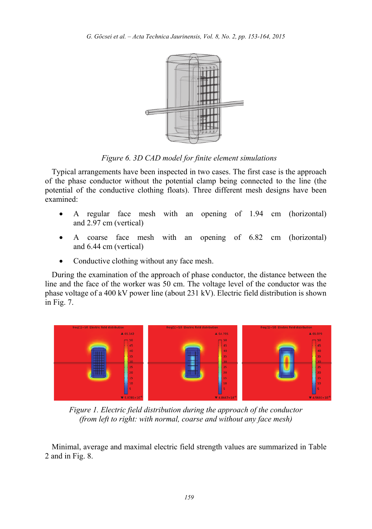

*Figure 6. 3D CAD model for finite element simulations* 

Typical arrangements have been inspected in two cases. The first case is the approach of the phase conductor without the potential clamp being connected to the line (the potential of the conductive clothing floats). Three different mesh designs have been examined:

- A regular face mesh with an opening of 1.94 cm (horizontal) and 2.97 cm (vertical)
- A coarse face mesh with an opening of 6.82 cm (horizontal) and 6.44 cm (vertical)
- Conductive clothing without any face mesh.

During the examination of the approach of phase conductor, the distance between the line and the face of the worker was 50 cm. The voltage level of the conductor was the phase voltage of a 400 kV power line (about 231 kV). Electric field distribution is shown in Fig. 7.



*Figure 1. Electric field distribution during the approach of the conductor (from left to right: with normal, coarse and without any face mesh)* 

Minimal, average and maximal electric field strength values are summarized in Table 2 and in Fig. 8.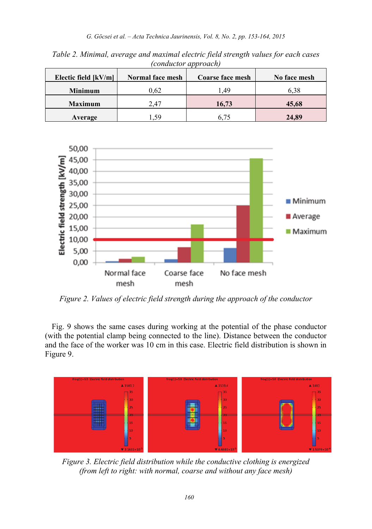| Electic field $[kV/m]$ | Normal face mesh | <b>Coarse face mesh</b> | No face mesh |
|------------------------|------------------|-------------------------|--------------|
| <b>Minimum</b>         | 0.62             | .49                     | 6.38         |
| <b>Maximum</b>         | 2.47             | 16.73                   | 45.68        |
| Average                | -59              | 575                     | 24,89        |

*Table 2. Minimal, average and maximal electric field strength values for each cases (conductor approach)* 



*Figure 2. Values of electric field strength during the approach of the conductor* 

Fig. 9 shows the same cases during working at the potential of the phase conductor (with the potential clamp being connected to the line). Distance between the conductor and the face of the worker was 10 cm in this case. Electric field distribution is shown in Figure 9.



*Figure 3. Electric field distribution while the conductive clothing is energized (from left to right: with normal, coarse and without any face mesh)*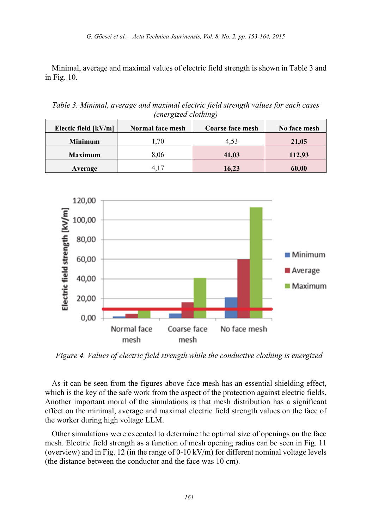Minimal, average and maximal values of electric field strength is shown in Table 3 and in Fig. 10.

*Table 3. Minimal, average and maximal electric field strength values for each cases (energized clothing)* 

| Electic field [kV/m] | Normal face mesh | <b>Coarse face mesh</b> | No face mesh |
|----------------------|------------------|-------------------------|--------------|
| <b>Minimum</b>       | .70              | 4.53                    | 21,05        |
| <b>Maximum</b>       | 8.06             | 41,03                   | 112,93       |
| Average              |                  | 16,23                   | 60,00        |

![](_page_8_Figure_4.jpeg)

*Figure 4. Values of electric field strength while the conductive clothing is energized* 

As it can be seen from the figures above face mesh has an essential shielding effect, which is the key of the safe work from the aspect of the protection against electric fields. Another important moral of the simulations is that mesh distribution has a significant effect on the minimal, average and maximal electric field strength values on the face of the worker during high voltage LLM.

Other simulations were executed to determine the optimal size of openings on the face mesh. Electric field strength as a function of mesh opening radius can be seen in Fig. 11 (overview) and in Fig. 12 (in the range of 0-10 kV/m) for different nominal voltage levels (the distance between the conductor and the face was 10 cm).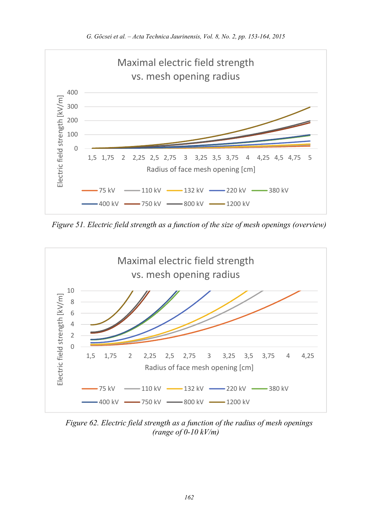![](_page_9_Figure_1.jpeg)

*Figure 51. Electric field strength as a function of the size of mesh openings (overview)* 

![](_page_9_Figure_3.jpeg)

*Figure 62. Electric field strength as a function of the radius of mesh openings (range of 0-10 kV/m)*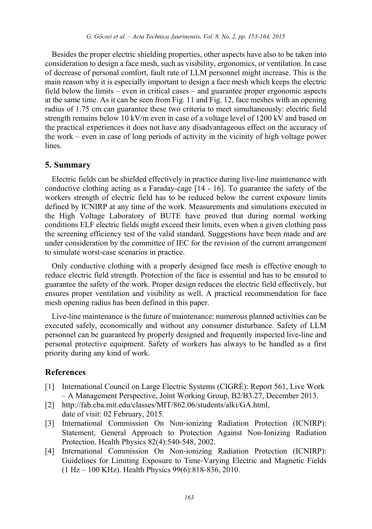Besides the proper electric shielding properties, other aspects have also to be taken into consideration to design a face mesh, such as visibility, ergonomics, or ventilation. In case of decrease of personal comfort, fault rate of LLM personnel might increase. This is the main reason why it is especially important to design a face mesh which keeps the electric field below the limits – even in critical cases – and guarantee proper ergonomic aspects at the same time. As it can be seen from Fig. 11 and Fig. 12, face meshes with an opening radius of 1.75 cm can guarantee these two criteria to meet simultaneously: electric field strength remains below 10 kV/m even in case of a voltage level of 1200 kV and based on the practical experiences it does not have any disadvantageous effect on the accuracy of the work – even in case of long periods of activity in the vicinity of high voltage power lines.

#### **5. Summary**

Electric fields can be shielded effectively in practice during live-line maintenance with conductive clothing acting as a Faraday-cage [14 - 16]. To guarantee the safety of the workers strength of electric field has to be reduced below the current exposure limits defined by ICNIRP at any time of the work. Measurements and simulations executed in the High Voltage Laboratory of BUTE have proved that during normal working conditions ELF electric fields might exceed their limits, even when a given clothing pass the screening efficiency test of the valid standard. Suggestions have been made and are under consideration by the committee of IEC for the revision of the current arrangement to simulate worst-case scenarios in practice.

Only conductive clothing with a properly designed face mesh is effective enough to reduce electric field strength. Protection of the face is essential and has to be ensured to guarantee the safety of the work. Proper design reduces the electric field effectively, but ensures proper ventilation and visibility as well. A practical recommendation for face mesh opening radius has been defined in this paper.

Live-line maintenance is the future of maintenance: numerous planned activities can be executed safely, economically and without any consumer disturbance. Safety of LLM personnel can be guaranteed by properly designed and frequently inspected live-line and personal protective equipment. Safety of workers has always to be handled as a first priority during any kind of work.

## **References**

- [1] International Council on Large Electric Systems (CIGRÉ): Report 561, Live Work – A Management Perspective, Joint Working Group, B2/B3.27, December 2013.
- [2] http://fab.cba.mit.edu/classes/MIT/862.06/students/alki/GA.html, date of visit: 02 February, 2015.
- [3] International Commission On Non-ionizing Radiation Protection (ICNIRP): Statement, General Approach to Protection Against Non-Ionizing Radiation Protection. Health Physics 82(4):540‐548, 2002.
- [4] International Commission On Non-ionizing Radiation Protection (ICNIRP): Guidelines for Limiting Exposure to Time‐Varying Electric and Magnetic Fields (1 Hz – 100 KHz). Health Physics 99(6):818‐836, 2010.